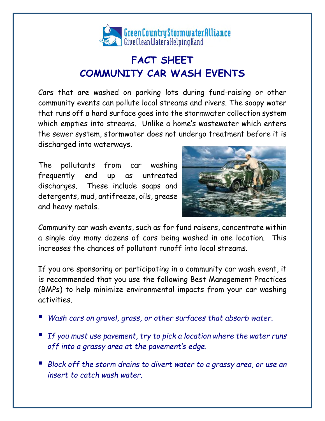

## **FACT SHEET COMMUNITY CAR WASH EVENTS**

Cars that are washed on parking lots during fund-raising or other community events can pollute local streams and rivers. The soapy water that runs off a hard surface goes into the stormwater collection system which empties into streams. Unlike a home's wastewater which enters the sewer system, stormwater does not undergo treatment before it is discharged into waterways.

The pollutants from car washing frequently end up as untreated discharges. These include soaps and detergents, mud, antifreeze, oils, grease and heavy metals.



Community car wash events, such as for fund raisers, concentrate within a single day many dozens of cars being washed in one location. This increases the chances of pollutant runoff into local streams.

If you are sponsoring or participating in a community car wash event, it is recommended that you use the following Best Management Practices (BMPs) to help minimize environmental impacts from your car washing activities.

- *Wash cars on gravel, grass, or other surfaces that absorb water.*
- *If you must use pavement, try to pick a location where the water runs off into a grassy area at the pavement's edge.*
- Block off the storm drains to divert water to a grassy area, or use an *insert to catch wash water.*